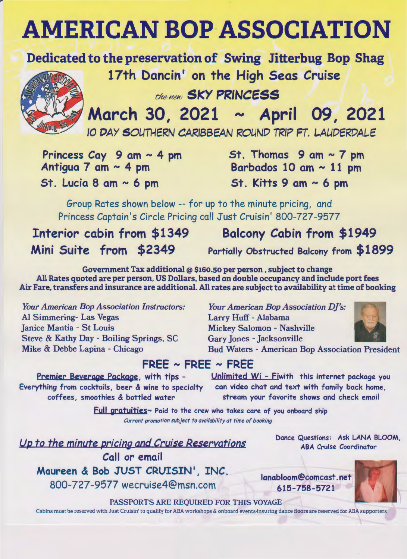## **AMERICAN BOP ASSOCIATION**

Dedicated to the preservation of Swing Jitterbug Bop Shag

17th Dancin' on the High Seas Cruise

the **Heat** SKY PRINCESS

March 30, 2021 ~ April 09, 2021

10 DAY SOUTHERN CARIBBEAN ROUND TRIP FT. LAUDERDALE

Princess Cay 9 am  $\sim$  4 pm Antigua 7 am  $\sim$  4 pm St. Lucia 8 am  $\sim$  6 pm

St. Thomas  $9$  am  $\sim$  7 pm Barbados 10 am  $\sim$  11 pm St. Kitts 9 am  $\sim$  6 pm

Group Rates shown below -- for up to the minute pricing, and Princess Captain's Circle Pricing call Just Cruisin' 800-727-9577

Interior cabin from \$1349 Balcony Cabin from \$1949

**Mini** Suite from **\$2349** Partially Obstructed Balcony from **\$1899** 

Government Tax additional @ \$160.so per person , subject to change All Rates quoted are per person, US Dollars, based on double occupancy and include port fees Air Fare, transfers and insurance are additional. All rates are subject to availability at time of booking

*Your American Bop Association Instructors:*  Al Simmering- Las Vegas Janice Mantia - St Louis Steve & Kathy Day - Boiling Springs, SC Mike & Debbe Lapina - Chicago

*Your American Bop Association DJ's:*  Larry Huff - Alabama Mickey Salomon - Nashville Gary Jones - Jacksonville Bud Waters - American Bop Association President



## **FREE** - **FREE** - **FREE**

Premier **Beverage Package,** with tips - **Everything from** cocktails, **beer** & **wine to specialty coffees,** smoothies & bottled **water** 

Unlimited Wi - Fiwith this internet package you can video chat and text with family back home, stream your favorite shows and check email

Full aratuities~ Paid to the crew who takes care of you onboard ship *Current promotion subject to availability at time of booking* 

Up to the minute pricing and Cruise Reservations Call or email Maureen & Bob JUST CRUISIN', INC. 800-727-9577 wecruise4@msn.com

Dance Questions: Ask LANA BLOOM, ABA Cruise Coordinator

lanabloom@comcast.net 615-758-5721

PASSPORTS ARE REQUIRED FOR THIS VOYAGE

Cabins must be reserved with Just Cruisin' to qualify for ABA workshops & onboard events-insuring dance floors are reserved for ABA supporters